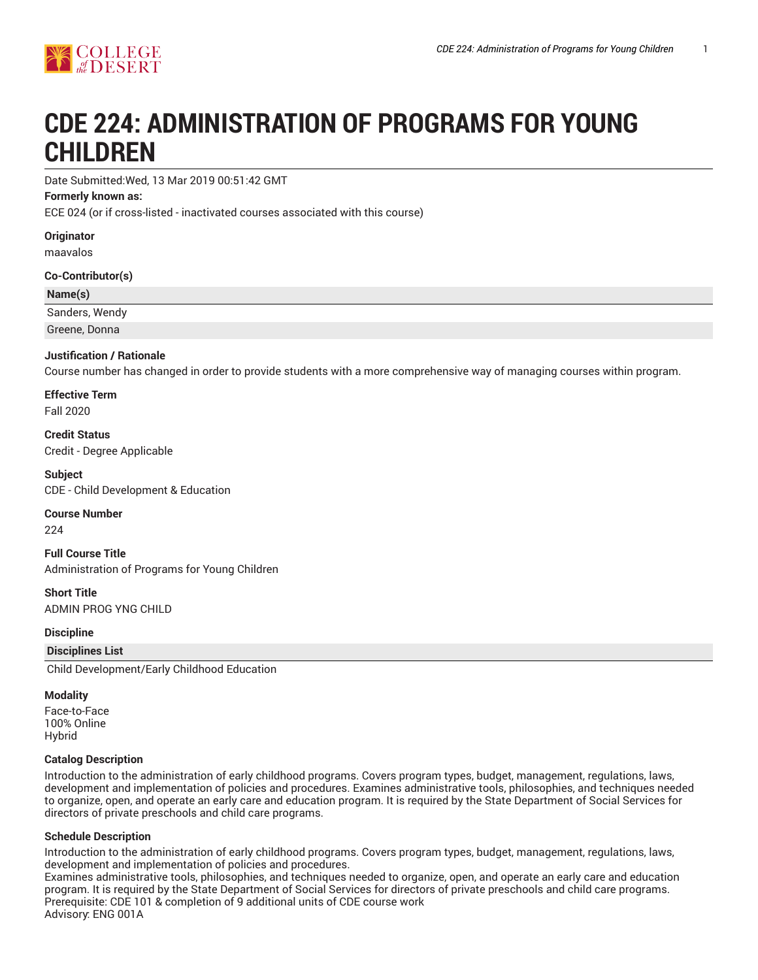

# **CDE 224: ADMINISTRATION OF PROGRAMS FOR YOUNG CHILDREN**

Date Submitted:Wed, 13 Mar 2019 00:51:42 GMT

#### **Formerly known as:**

ECE 024 (or if cross-listed - inactivated courses associated with this course)

**Originator**

maavalos

**Co-Contributor(s)**

#### **Name(s)**

Sanders, Wendy

Greene, Donna

#### **Justification / Rationale**

Course number has changed in order to provide students with a more comprehensive way of managing courses within program.

**Effective Term** Fall 2020

**Credit Status** Credit - Degree Applicable

**Subject** CDE - Child Development & Education

#### **Course Number**

224

**Full Course Title** Administration of Programs for Young Children

**Short Title** ADMIN PROG YNG CHILD

#### **Discipline**

**Disciplines List**

Child Development/Early Childhood Education

#### **Modality**

Face-to-Face 100% Online Hybrid

#### **Catalog Description**

Introduction to the administration of early childhood programs. Covers program types, budget, management, regulations, laws, development and implementation of policies and procedures. Examines administrative tools, philosophies, and techniques needed to organize, open, and operate an early care and education program. It is required by the State Department of Social Services for directors of private preschools and child care programs.

#### **Schedule Description**

Introduction to the administration of early childhood programs. Covers program types, budget, management, regulations, laws, development and implementation of policies and procedures.

Examines administrative tools, philosophies, and techniques needed to organize, open, and operate an early care and education program. It is required by the State Department of Social Services for directors of private preschools and child care programs. Prerequisite: CDE 101 & completion of 9 additional units of CDE course work Advisory: ENG 001A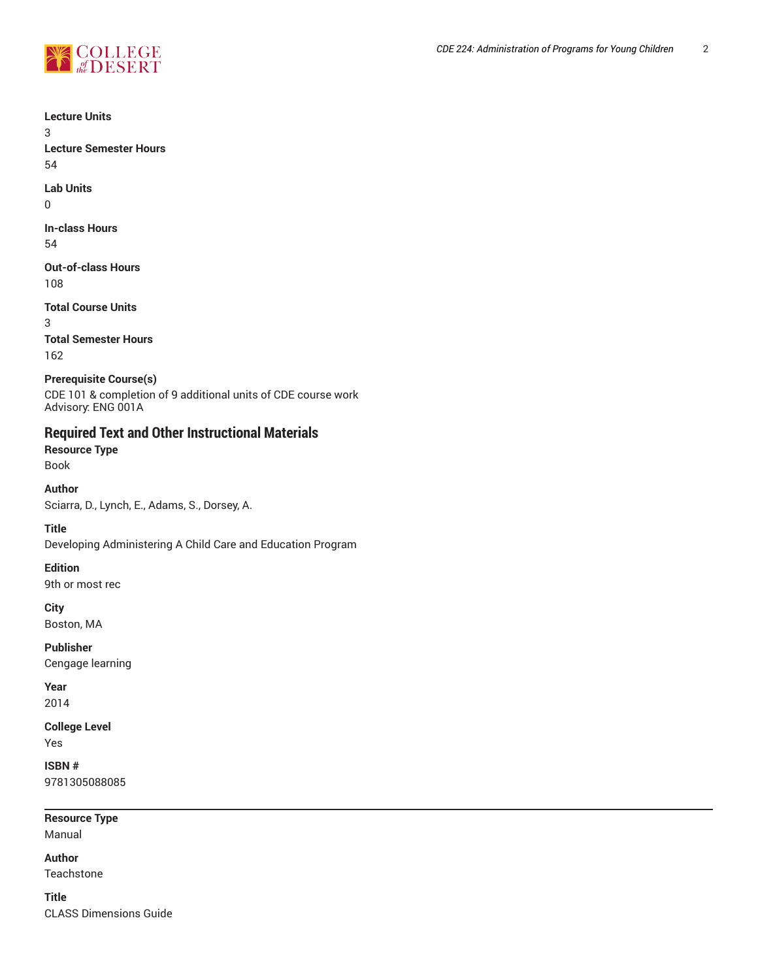

**Lecture Units** 3 **Lecture Semester Hours** 54 **Lab Units** 0 **In-class Hours** 54

**Out-of-class Hours** 108

**Total Course Units** 3 **Total Semester Hours** 162

**Prerequisite Course(s)** CDE 101 & completion of 9 additional units of CDE course work Advisory: ENG 001A

## **Required Text and Other Instructional Materials**

**Resource Type** Book

**Author**

Sciarra, D., Lynch, E., Adams, S., Dorsey, A.

**Title**

Developing Administering A Child Care and Education Program

**Edition**

9th or most rec

**City**

Boston, MA

**Publisher** Cengage learning

**Year** 2014

**College Level** Yes

**ISBN #** 9781305088085

**Resource Type**

Manual

**Author**

Teachstone

**Title** CLASS Dimensions Guide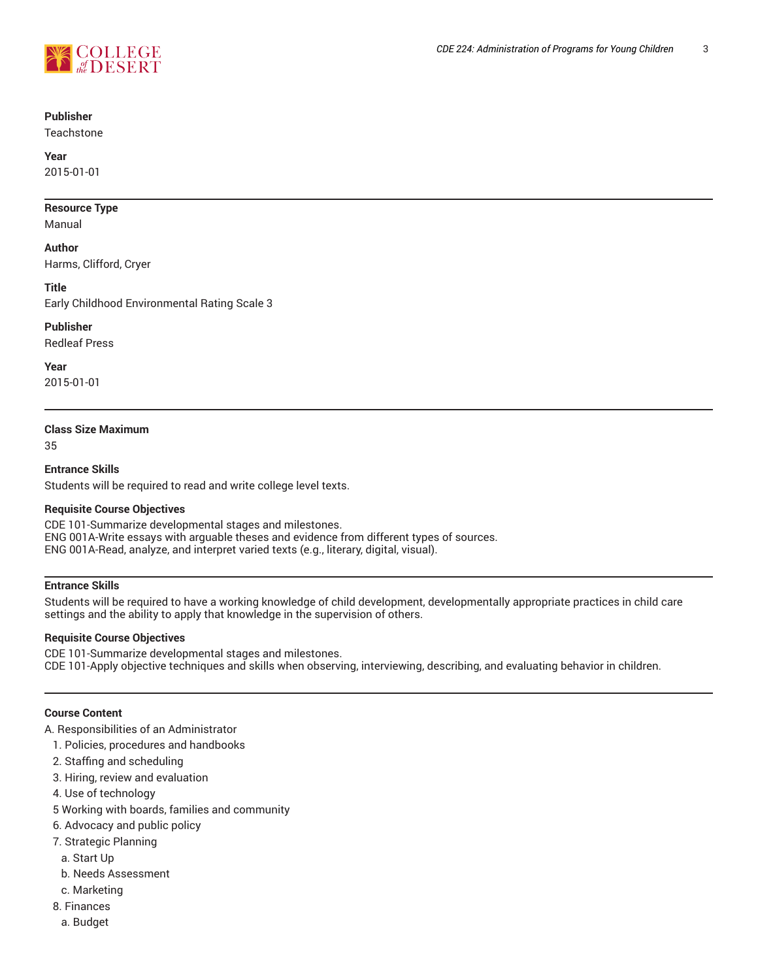

#### **Publisher**

**Teachstone** 

#### **Year**

2015-01-01

#### **Resource Type**

Manual

#### **Author**

Harms, Clifford, Cryer

#### **Title**

Early Childhood Environmental Rating Scale 3

#### **Publisher**

Redleaf Press

#### **Year**

2015-01-01

#### **Class Size Maximum**

35

## **Entrance Skills**

Students will be required to read and write college level texts.

#### **Requisite Course Objectives**

CDE 101-Summarize developmental stages and milestones. ENG 001A-Write essays with arguable theses and evidence from different types of sources. ENG 001A-Read, analyze, and interpret varied texts (e.g., literary, digital, visual).

#### **Entrance Skills**

Students will be required to have a working knowledge of child development, developmentally appropriate practices in child care settings and the ability to apply that knowledge in the supervision of others.

#### **Requisite Course Objectives**

CDE 101-Summarize developmental stages and milestones. CDE 101-Apply objective techniques and skills when observing, interviewing, describing, and evaluating behavior in children.

#### **Course Content**

A. Responsibilities of an Administrator

- 1. Policies, procedures and handbooks
- 2. Staffing and scheduling
- 3. Hiring, review and evaluation
- 4. Use of technology
- 5 Working with boards, families and community
- 6. Advocacy and public policy
- 7. Strategic Planning
	- a. Start Up
- b. Needs Assessment
- c. Marketing
- 8. Finances
	- a. Budget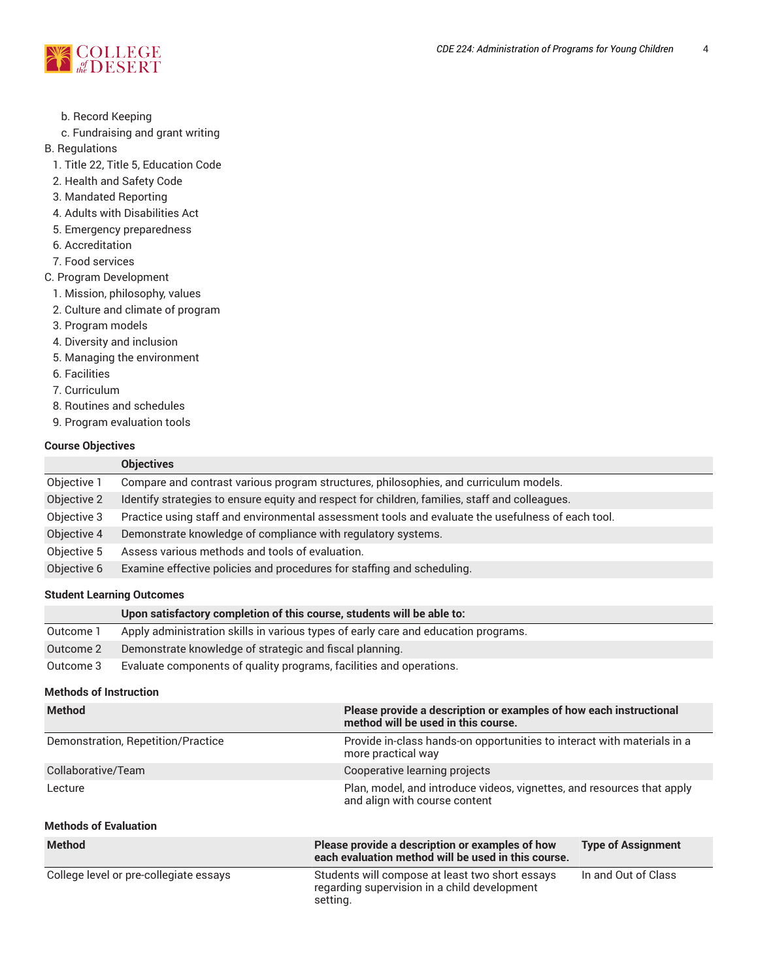

b. Record Keeping

c. Fundraising and grant writing

B. Regulations

- 1. Title 22, Title 5, Education Code
- 2. Health and Safety Code
- 3. Mandated Reporting
- 4. Adults with Disabilities Act
- 5. Emergency preparedness
- 6. Accreditation
- 7. Food services
- C. Program Development
	- 1. Mission, philosophy, values
	- 2. Culture and climate of program
	- 3. Program models
	- 4. Diversity and inclusion
	- 5. Managing the environment
	- 6. Facilities
	- 7. Curriculum
	- 8. Routines and schedules
	- 9. Program evaluation tools

#### **Course Objectives**

| <b>Objectives</b>                                                                                 |
|---------------------------------------------------------------------------------------------------|
| Compare and contrast various program structures, philosophies, and curriculum models.             |
| Identify strategies to ensure equity and respect for children, families, staff and colleagues.    |
| Practice using staff and environmental assessment tools and evaluate the usefulness of each tool. |
| Demonstrate knowledge of compliance with regulatory systems.                                      |
| Assess various methods and tools of evaluation.                                                   |
| Examine effective policies and procedures for staffing and scheduling.                            |
|                                                                                                   |

#### **Student Learning Outcomes**

# **Upon satisfactory completion of this course, students will be able to:** Outcome 1 Apply administration skills in various types of early care and education programs. Outcome 2 Demonstrate knowledge of strategic and fiscal planning.

Outcome 3 Evaluate components of quality programs, facilities and operations.

## **Methods of Instruction**

| <b>Method</b>                          | Please provide a description or examples of how each instructional<br>method will be used in this course.   |                           |
|----------------------------------------|-------------------------------------------------------------------------------------------------------------|---------------------------|
| Demonstration, Repetition/Practice     | Provide in-class hands-on opportunities to interact with materials in a<br>more practical way               |                           |
| Collaborative/Team                     | Cooperative learning projects                                                                               |                           |
| Lecture                                | Plan, model, and introduce videos, vignettes, and resources that apply<br>and align with course content     |                           |
| <b>Methods of Evaluation</b>           |                                                                                                             |                           |
| <b>Method</b>                          | Please provide a description or examples of how<br>each evaluation method will be used in this course.      | <b>Type of Assignment</b> |
| College level or pre-collegiate essays | Students will compose at least two short essays<br>regarding supervision in a child development<br>setting. | In and Out of Class       |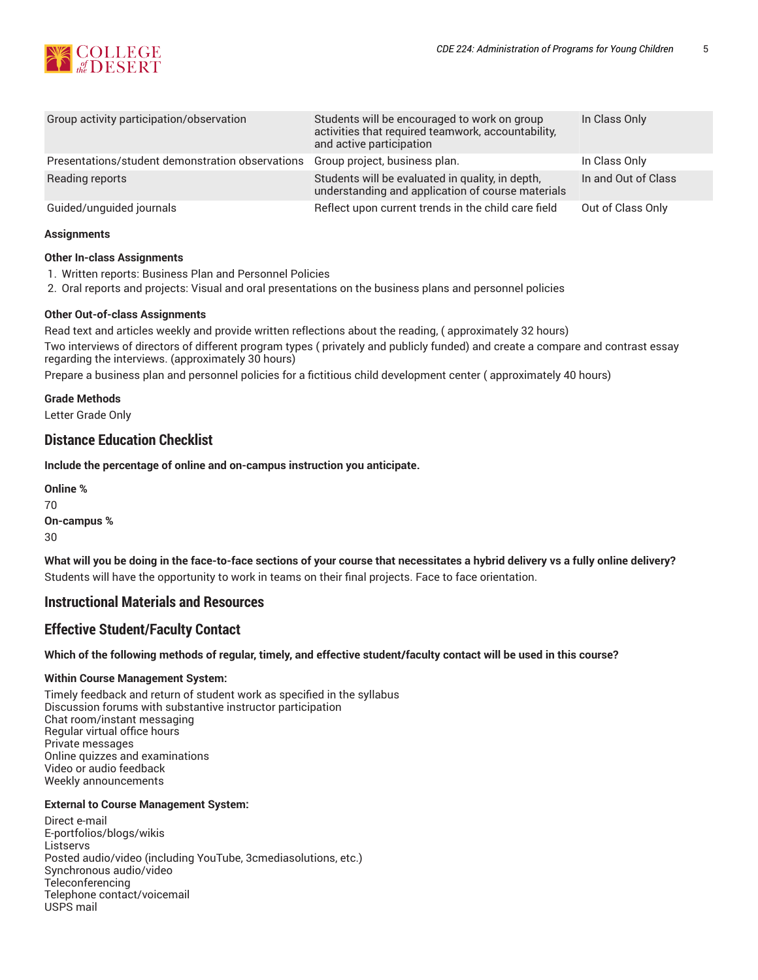

| Group activity participation/observation         | Students will be encouraged to work on group<br>activities that required teamwork, accountability,<br>and active participation | In Class Only       |
|--------------------------------------------------|--------------------------------------------------------------------------------------------------------------------------------|---------------------|
| Presentations/student demonstration observations | Group project, business plan.                                                                                                  | In Class Only       |
| Reading reports                                  | Students will be evaluated in quality, in depth,<br>understanding and application of course materials                          | In and Out of Class |
| Guided/unguided journals                         | Reflect upon current trends in the child care field                                                                            | Out of Class Only   |

#### **Assignments**

#### **Other In-class Assignments**

- 1. Written reports: Business Plan and Personnel Policies
- 2. Oral reports and projects: Visual and oral presentations on the business plans and personnel policies

#### **Other Out-of-class Assignments**

Read text and articles weekly and provide written reflections about the reading, ( approximately 32 hours) Two interviews of directors of different program types ( privately and publicly funded) and create a compare and contrast essay regarding the interviews. (approximately 30 hours)

Prepare a business plan and personnel policies for a fictitious child development center ( approximately 40 hours)

**Grade Methods**

Letter Grade Only

## **Distance Education Checklist**

**Include the percentage of online and on-campus instruction you anticipate.**

**Online %** 70 **On-campus %** 30

What will you be doing in the face-to-face sections of your course that necessitates a hybrid delivery vs a fully online delivery? Students will have the opportunity to work in teams on their final projects. Face to face orientation.

## **Instructional Materials and Resources**

## **Effective Student/Faculty Contact**

Which of the following methods of regular, timely, and effective student/faculty contact will be used in this course?

#### **Within Course Management System:**

Timely feedback and return of student work as specified in the syllabus Discussion forums with substantive instructor participation Chat room/instant messaging Regular virtual office hours Private messages Online quizzes and examinations Video or audio feedback Weekly announcements

#### **External to Course Management System:**

Direct e-mail E-portfolios/blogs/wikis Listservs Posted audio/video (including YouTube, 3cmediasolutions, etc.) Synchronous audio/video **Teleconferencing** Telephone contact/voicemail USPS mail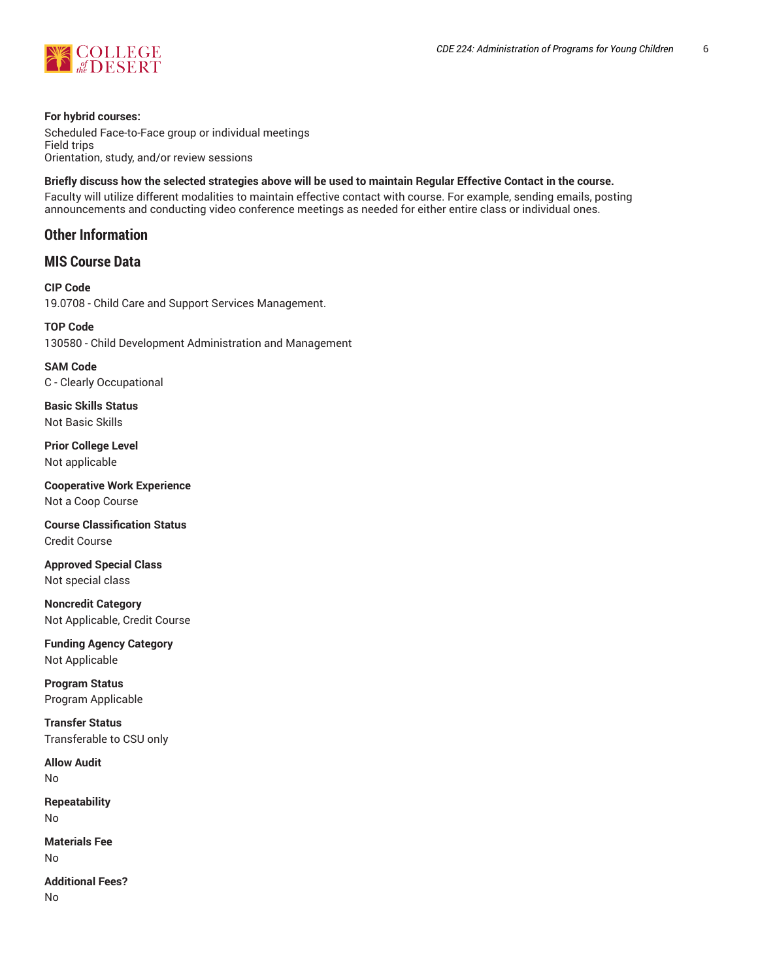

#### **For hybrid courses:**

Scheduled Face-to-Face group or individual meetings Field trips Orientation, study, and/or review sessions

#### Briefly discuss how the selected strategies above will be used to maintain Regular Effective Contact in the course.

Faculty will utilize different modalities to maintain effective contact with course. For example, sending emails, posting announcements and conducting video conference meetings as needed for either entire class or individual ones.

## **Other Information**

**MIS Course Data**

## **CIP Code** 19.0708 - Child Care and Support Services Management.

**TOP Code** 130580 - Child Development Administration and Management

**SAM Code** C - Clearly Occupational

**Basic Skills Status** Not Basic Skills

**Prior College Level** Not applicable

**Cooperative Work Experience** Not a Coop Course

**Course Classification Status** Credit Course

**Approved Special Class** Not special class

**Noncredit Category** Not Applicable, Credit Course

**Funding Agency Category** Not Applicable

**Program Status** Program Applicable

**Transfer Status** Transferable to CSU only

**Allow Audit** No

**Repeatability** No

**Materials Fee** No

**Additional Fees?** No